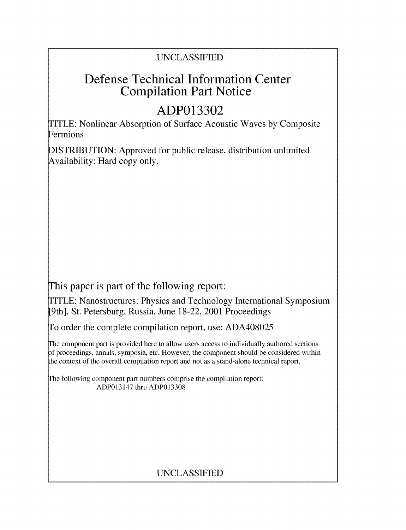# UNCLASSIFIED

# Defense Technical Information Center Compilation Part Notice

# **ADP013302**

TITLE: Nonlinear Absorption of Surface Acoustic Waves by Composite Fermions

DISTRIBUTION: Approved for public release, distribution unlimited Availability: Hard copy only.

This paper is part of the following report:

TITLE: Nanostructures: Physics and Technology International Symposium [9th], St. Petersburg, Russia, June 18-22, 2001 Proceedings

To order the complete compilation report, use: ADA408025

The component part is provided here to allow users access to individually authored sections f proceedings, annals, symposia, etc. However, the component should be considered within the context of the overall compilation report and not as a stand-alone technical report.

The following component part numbers comprise the compilation report: ADP013147 thru ADP013308

# UNCLASSIFIED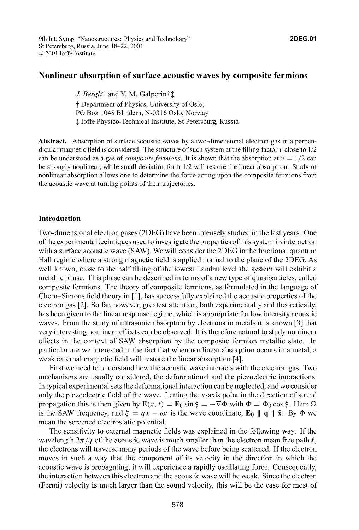## Nonlinear absorption of surface acoustic waves **by** composite fermions

*J. Bergli*† and Y. M. Galperin† $\ddagger$ **"t** Department of Physics, University of Oslo, PO Box 1048 Blindern, N-0316 Oslo, Norway **I** loffe Physico-Technical Institute, St Petersburg, Russia

Abstract. Absorption of surface acoustic waves by a two-dimensional electron gas in a perpendicular magnetic field is considered. The structure of such system at the filling factor  $\nu$  close to  $1/2$ can be understood as a gas of *composite fermions*. It is shown that the absorption at  $v = 1/2$  can be strongly nonlinear, while small deviation form 1/2 will restore the linear absorption. Study of nonlinear absorption allows one to determine the force acting upon the composite fermions from the acoustic wave at turning points of their trajectories.

## Introduction

Two-dimensional electron gases (2DEG) have been intensely studied in the last years. One ofthe experimental techniques used to investigate the properties ofthis system its interaction with a surface acoustic wave (SAW). We will consider the 2DEG in the fractional quantum Hall regime where a strong magnetic field is applied normal to the plane of the 2DEG. As well known, close to the half filling of the lowest Landau level the system will exhibit a metallic phase. This phase can be described in terms of a new type of quasiparticles, called composite fermions. The theory of composite fermions, as formulated in the language of Chern-Simons field theory in [1 **],** has successfully explained the acoustic properties of the electron gas [2]. So far, however, greatest attention, both experimentally and theoretically, has been given to the linear response regime, which is appropriate for low intensity acoustic waves. From the study of ultrasonic absorption by electrons in metals it is known **[3]** that very interesting nonlinear effects can be observed. It is therefore natural to study nonlinear effects in the context of SAW absorption by the composite fermion metallic state. In particular are we interested in the fact that when nonlinear absorption occurs in a metal, a weak external magnetic field will restore the linear absorption [4].

First we need to understand how the acoustic wave interacts with the electron gas. Two mechanisms are usually considered, the deformational and the piezoelectric interactions. In typical experimental sets the deformational interaction can be neglected, and we consider only the piezoelectric field of the wave. Letting the  $x$ -axis point in the direction of sound propagation this is then given by  $\mathbf{E}(x, t) = \mathbf{E}_0 \sin \xi = -\nabla \Phi$  with  $\Phi = \Phi_0 \cos \xi$ . Here  $\Omega$ is the SAW frequency, and  $\xi = qx - \omega t$  is the wave coordinate;  $\mathbf{E}_0 \parallel \mathbf{q} \parallel \hat{\mathbf{x}}$ . By  $\Phi$  we mean the screened electrostatic potential.

The sensitivity to external magnetic fields was explained in the following way. If the wavelength  $2\pi/q$  of the acoustic wave is much smaller than the electron mean free path  $\ell$ , the electrons will traverse many periods of the wave before being scattered. If the electron moves in such a way that the component of its velocity in the direction in which the acoustic wave is propagating, it will experience a rapidly oscillating force. Consequently, the interaction between this electron and the acoustic wave will be weak. Since the electron (Fermi) velocity is much larger than the sound velocity, this will be the case for most of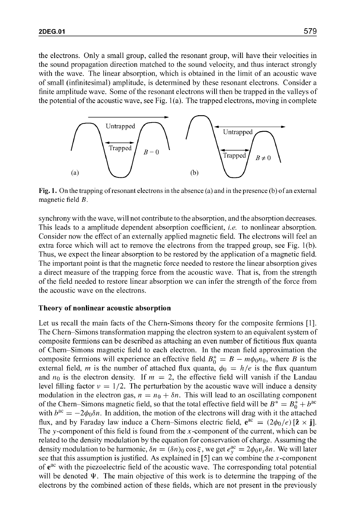the electrons. Only a small group, called the resonant group, will have their velocities in the sound propagation direction matched to the sound velocity, and thus interact strongly with the wave. The linear absorption, which is obtained in the limit of an acoustic wave of small (infinitesimal) amplitude, is determined by these resonant electrons. Consider a finite amplitude wave. Some of the resonant electrons will then be trapped in the valleys of the potential of the acoustic wave, see Fig.  $1(a)$ . The trapped electrons, moving in complete



Fig. 1. On the trapping of resonant electrons in the absence (a) and in the presence (b) of an external magnetic field *B.*

synchrony with the wave, will not contribute to the absorption, and the absorption decreases. This leads to a amplitude dependent absorption coefficient, *i.e.* to nonlinear absorption. Consider now the effect of an externally applied magnetic field. The electrons will feel an extra force which will act to remove the electrons from the trapped group, see Fig. 1(b). Thus, we expect the linear absorption to be restored by the application of a magnetic field. The important point is that the magnetic force needed to restore the linear absorption gives a direct measure of the trapping force from the acoustic wave. That is, from the strength of the field needed to restore linear absorption we can infer the strength of the force from the acoustic wave on the electrons.

### Theory of nonlinear acoustic absorption

Let us recall the main facts of the Chern-Simons theory for the composite fermions **[1].** The Chern-Simons transformation mapping the electron system to an equivalent system of composite fermions can be described as attaching an even number of fictitious flux quanta of Chern-Simons magnetic field to each electron. In the mean field approximation the composite fermions will experience an effective field  $B_0^* = B - m\phi_0 n_0$ , where B is the external field, *m* is the number of attached flux quanta,  $\phi_0 = h/e$  is the flux quantum and  $n_0$  is the electron density. If  $m = 2$ , the effective field will vanish if the Landau level filling factor  $v = 1/2$ . The perturbation by the acoustic wave will induce a density modulation in the electron gas,  $n = n_0 + \delta n$ . This will lead to an oscillating component of the Chern–Simons magnetic field, so that the total effective field will be  $B^* = B_0^* + b^{\alpha c}$ with  $b^{ac} = -2\phi_0 \delta n$ . In addition, the motion of the electrons will drag with it the attached flux, and by Faraday law induce a Chern-Simons electric field,  $e^{ac} = (2\phi_0/e) [\hat{z} \times \hat{j}]$ . The y-component of this field is found from the  $x$ -component of the current, which can be related to the density modulation by the equation for conservation of charge. Assuming the density modulation to be harmonic,  $\delta n = (\delta n)_0 \cos \xi$ , we get  $e_v^{\alpha c} = 2\phi_0 v_s \delta n$ . We will later see that this assumption is justified. As explained in **[5]** can we combine the x-component of  $e^{ac}$  with the piezoelectric field of the acoustic wave. The corresponding total potential will be denoted  $\Psi$ . The main objective of this work is to determine the trapping of the electrons by the combined action of these fields, which are not present in the previously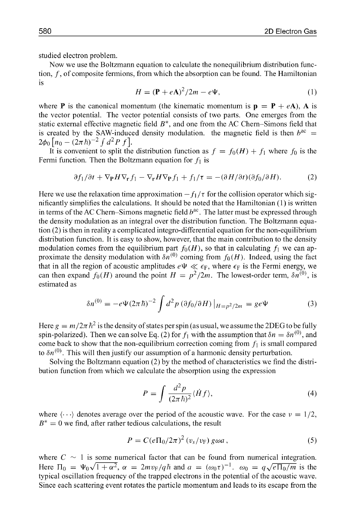studied electron problem.

Now we use the Boltzmann equation to calculate the nonequilibrium distribution function, *f,* of composite fermions, from which the absorption can be found. The Hamiltonian is

$$
H = (\mathbf{P} + e\mathbf{A})^2 / 2m - e\Psi,
$$
 (1)

where **P** is the canonical momentum (the kinematic momentum is  $\mathbf{p} = \mathbf{P} + e\mathbf{A}$ ), **A** is the vector potential. The vector potential consists of two parts. One emerges from the static external effective magnetic field  $B^*$ , and one from the AC Chern–Simons field that is created by the SAW-induced density modulation, the magnetic field is then  $b^{ac} =$  $2\phi_0 \left[ n_0 - (2\pi \hbar)^{-2} \int d^2 P f \right]$ .

It is convenient to split the distribution function as  $f = f_0(H) + f_1$  where  $f_0$  is the Fermi function. Then the Boltzmann equation for  $f_1$  is

$$
\partial f_1/\partial t + \nabla_{\mathbf{P}} H \nabla_{\mathbf{r}} f_1 - \nabla_{\mathbf{r}} H \nabla_{\mathbf{P}} f_1 + f_1/\tau = -(\partial H/\partial t)(\partial f_0/\partial H). \tag{2}
$$

Here we use the relaxation time approximation  $-f_1/\tau$  for the collision operator which significantly simplifies the calculations. It should be noted that the Hamiltonian (1) is written in terms of the AC Chern-Simons magnetic field  $b^{ac}$ . The latter must be expressed through the density modulation as an integral over the distribution function. The Boltzmann equation (2) is then in reality a complicated integro-differential equation for the non-equilibrium distribution function. It is easy to show, however, that the main contribution to the density modulation comes from the equilibrium part  $f_0(H)$ , so that in calculating  $f_1$  we can approximate the density modulation with  $\delta n^{(0)}$  coming from  $f_0(H)$ . Indeed, using the fact that in all the region of acoustic amplitudes  $e\Psi \ll \epsilon_F$ , where  $\epsilon_F$  is the Fermi energy, we can then expand  $f_0(H)$  around the point  $H = p^2/2m$ . The lowest-order term,  $\delta n^{(0)}$ , is estimated as

$$
\delta n^{(0)} = -e\Psi (2\pi\hbar)^{-2} \int d^2p \left(\partial f_0 / \partial H\right)|_{H=p^2/2m} = g e \Psi \tag{3}
$$

Here  $g = m/2\pi \hbar^2$  is the density of states per spin (as usual, we assume the 2DEG to be fully spin-polarized). Then we can solve Eq. (2) for  $f_1$  with the assumption that  $\delta n = \delta n^{(0)}$ , and come back to show that the non-equilibrium correction coming from  $f_1$  is small compared to  $\delta n^{(0)}$ . This will then justify our assumption of a harmonic density perturbation.

Solving the Boltzmann equation (2) by the method of characteristics we find the distribution function from which we calculate the absorption using the expression

$$
P = \int \frac{d^2 p}{(2\pi \hbar)^2} \langle \dot{H} f \rangle, \tag{4}
$$

where  $\langle \cdots \rangle$  denotes average over the period of the acoustic wave. For the case  $v = 1/2$ ,  $B^* = 0$  we find, after rather tedious calculations, the result

$$
P = C(e\Pi_0/2\pi)^2 \left(v_s/v_F\right)g\omega a\,,\tag{5}
$$

where  $C \sim 1$  is some numerical factor that can be found from numerical integration. Here  $\Pi_0 = \Psi_0 \sqrt{1 + \alpha^2}$ ,  $\alpha = 2mv_F/q\hbar$  and  $a = (\omega_0 \tau)^{-1}$ .  $\omega_0 = q\sqrt{e \Pi_0/m}$  is the typical oscillation frequency of the trapped electrons in the potential of the acoustic wave. Since each scattering event rotates the particle momentum and leads to its escape from the